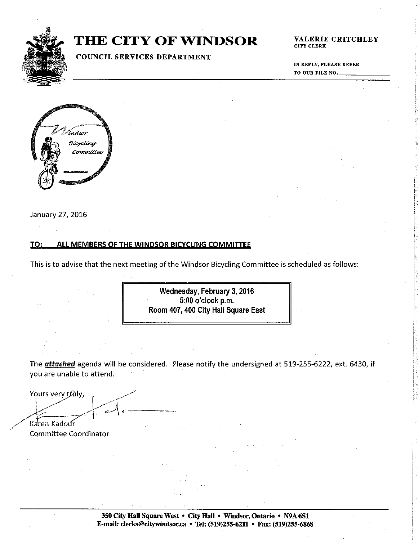

# **THE CITY OF WINDSOR**

# **COUNCIL SERVICES DEPARTMENT**

VALERIE CRITCHLEY **CITY CLERK** 

IN REPLY, PLEASE REFER TO OUR FILE NO.



January 27, 2016

#### ALL MEMBERS OF THE WINDSOR BICYCLING COMMITTEE TO:

This is to advise that the next meeting of the Windsor Bicycling Committee is scheduled as follows:

Wednesday, February 3, 2016 5:00 o'clock p.m. Room 407, 400 City Hall Square East

The **attached** agenda will be considered. Please notify the undersigned at 519-255-6222, ext. 6430, if you are unable to attend.

Yours very truly, Karen Kadour

Committee Coordinator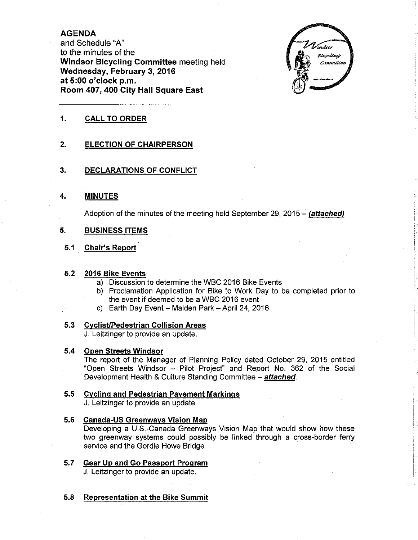# AGENDA

and Schedule "A" to the minutes of the Windsor Bicycling Committee meeting held Wednesday, February 3, 2016 at 5:00 o'clock p.m. Room 407,400 City Hall Square East



# 1. CALL TO ORDER

#### $2.$ ELECTION OF CHAIRPERSON

#### 3. DECLARATIONS OF CONFLICT

#### MINUTES 4.

Adoption of the minutes of the meeting held September 29, 2015 - (attached)

#### BUSINESS ITEMS 5.

#### Chair's Report 5.1

### 5.2 2016 Bike Events

- a) Discussion to determine the WBC 2016 Bike Events
- b) Proclamation Application for Bike to Work Day to be completed prior to the event if deemed to be a WBC 2016 event
- c) Earth Day Event Malden Park April 24, 2016

### 5.3 Cyclist/Pedestrian Collision Areas

J. Leitzinger to provide an update.

#### 5.4 Open Streets Windsor

The report of the Manager of Planning Policy dated October 29, 2015 entitled "Open Streets Windsor - Pilot Project" and Report No. 362 of the Social Development Health & Culture Standing Committee - attached.

# 5.5 Cycling and Pedestrian Pavement Markings

J. Leitzinger to provide an update.

#### 5.6 **Canada-US Greenways Vision Map**

Developing a U.S.-Canada Greenways Vision Map that would show how these two greenway systems could possibly be linked through a cross-border ferry service and the Gordie Howe Bridge

- 5.7 Gear Up and Go Passport Program J. Leitzinger to provide an update.
- 5.8 Representation at the Bike Summit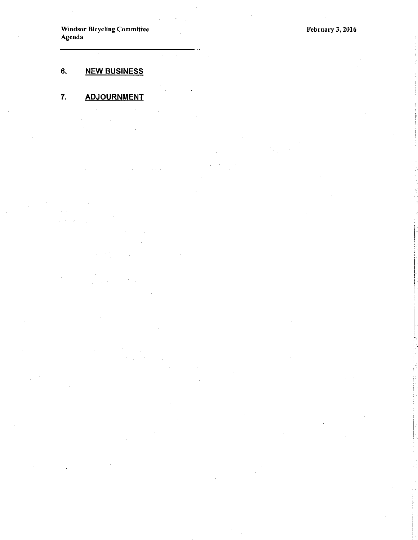Windsor Bicycling Committee Agenda

#### 6. NEW BUSINESS

#### 7. **ADJOURNMENT**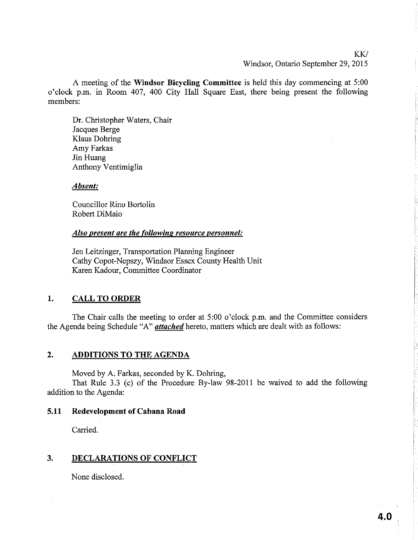KW

#### Windsor, Ontario September 29, 2015

A meeting of the Windsor Bicycling Committee is held this day commencing at 5:00 o'clock p.m. in Room 407, 400 City Hall Square East, there being present the following members:

Dr. Christopher Waters, Chair Jacques Berge Klaus Dohring Amy Farkas Jin Huang Anthony Ventimiglia

Absent:

Councillor Rino Bortolin Robert DiMaio

#### Also present are the following resource personnel:

Jen Leitzinger, Transportation Pianning Engineer Cathy Copot-Nepszy, Windsor Essex County Health Unit Karen Kadour, Committee Coordinator

### 1. CALL TO ORDER

The Chair calls the meeting to order at  $5:00$  o'clock p.m. and the Committee considers the Agenda being Schedule "A" *attached* hereto, matters which are dealt with as follows:

## 2. ADDITIONS TO THE AGENDA

Moved by A. Farkas, seconded by K. Dohring,

That Rule 3.3 (c) of the Procedure By-law 98-2011 be waived to add the following addition to the Agenda:

# 5.11 Redevelopment of Cabana Road

Carried.

#### 3. DECLARATIONS OF CONFLICT

None disclosed.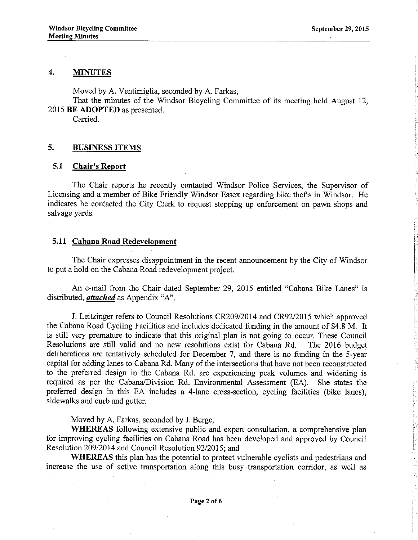#### 4. MINUTES

Moved by A. Ventimiglia, seconded by A. Farkas,

That the minutes of the Windsor Bicycling Committee of its meeting held August 12, 2015 BE ADOPTED as presented.

Carried.

# 5. BUSINESS ITEMS

#### 5.1 Chair's Report

The Chair reports he recently contacted Windsor Police Services, the Supervisor of Licensing and a member of Bike Friendly Windsor Essex regarding bike thefts in Windsor. He indicates he contacted the City Clerk to request stepping up enforcement on pawn shops and salvage yards.

## 5.11 Cabana Road Redevelopment

The Chair expresses disappointment in the recent announcement by the City of Windsor to put a hold on the Cabana Road redevelopment project.

An e-mail from the Chair dated September 29, 2015 entitled "Cabana Bike Lanes" is distributed, *attached* as Appendix "A".

J. Leitzinger refers to Council Resolutions CR209/2014 and CR92/2015 which approved the Cabana Road Cycling Facilities and includes dedicated funding in the amount of \$4.8 M. It is still very premature to indicate that this original plan is not going to occw. These Council Resolutions are still valid and no new resolutions exist for Cabana Rd. The 2016 budget deliberations are tentatively scheduled for December 7, and there is no funding in the 5-year capital for adding lanes to Cabana Rd. Many of the intersections that have not been reconstructed to the preferred design in the Cabana Rd. are experiencing peak volumes and widening is required as per the Cabana/Division Rd. Environmental Assessment (EA). She states the preferred design in this EA includes a 4-lane cross-section, cycling facilities (bike lanes), sidewalks and curb and gutter.

Moved by A. Farkas, seconded by J. Berge,

WHEREAS following extensive public and expert consultation, a comprehensive plan for improving cycling facilities on Cabana Road has been developed and approved by Council Resolution 209/2014 and Council Resolution 92/2015; and

WHEREAS this plan has the potential to protect wlnerable cyclists and pedestrians and increase the use of active transportation along this busy transportation corridor, as well as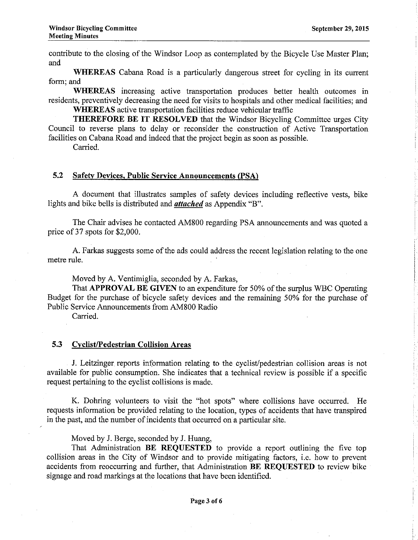contribute to the closing of the Windsor Loop as contemplated by the Bicycle Use Master Plan; and

WHEREAS Cabana Road is a particularly dangerous street for cycling in its current form; and

WHEREAS increasing active transportation produces better health outcomes in residents, preventively decreasing the need for visits to hospitals and other medical facilities; and WHEREAS active transportation facilities reduce vehicular traffic

THEREFORE BE IT RESOLVED that the Windsor Bicycling Committee urges City Council to reverse plans to delay or reconsider the construction of Active Transportation facilities on Cabana Road and indeed that the project begin as soon as possible.

Carried.

## 5.2 Safefv Devices. Public Service Announcements (PSA)

A document that illustrates samples of safety devices including reflective vests, bike lights and bike bells is distributed and *attached* as Appendix "B".

The Chair advises he contacted AM800 regarding PSA announcements and was quoted a price of37 spots for \$2,000.

A. Farkas suggests some of the ads could address the recent legislation relating to the one metre rule.

Moved by A. Ventimiglia, seconded by A. Farkas,

That APPROVAL BE GIVEN to an expenditure for 50% of the surplus WBC Operating Budget for the purchase of bicycle safety devices and the remaining 50% for the purchase of Public Service Amouncements from 4M800 Radio

Carried.

### 5.3 Cyclist/Pedestrian Collision Areas

J. Leitzinger reports information relating to the cyclislpedestrian collision areas is not available for public consumption. She indicates that a technical review is possible if a specific request pertaining to the cyciist collisions is made.

K. Dohring volunteers to visit the "hot spots" where collisions have occurred. He requests information be provided relating to the location, types of accidents that have transpired in the past, and the number of incidents that occurred on a particular site.

Moved by J. Berge, seconded by J. Huang,

That Administration BE REQUESTED to provide a report outlining the five top collision areas in the City of Windsor and to provide mitigating factors, i.e. how to prevent accidents from reoccurring and further, that Administration **BE REQUESTED** to review bike signage and road markings at the locations that have been identified.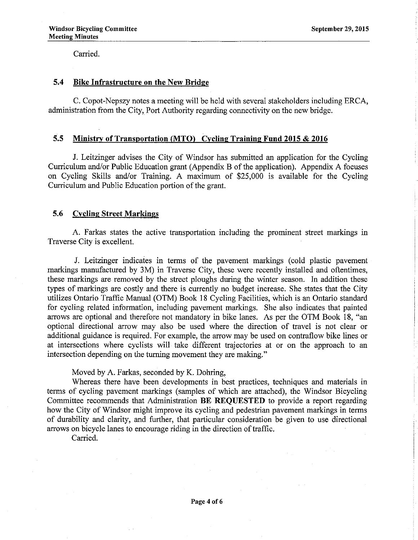Carried.

# 5.4 Bike Infrastructure on the New Bridge

C. Copot-Nepszy notes a meeting will be held with several stakeholders including ERCA, administration from the City, Port Authority regarding connectivity on the new bridge.

# 5.5 Ministry of Transportation (MTO) Cycling Training Fund 2015 & 2016

J. Leitzinger advises the City of Windsor has submitted an application for the Cycling Curriculum and/or Public Education grant (Appendix B of the application). Appendix A focuses on Cycling Skills and/or Training. A maximum of \$25,000 is available for the Cycling Curriculum and Public Education portion of the grant.

# 5.6 Cycling Street Markings

A. Farkas states the active transportation including the prominent street markings in Traverse City is excellent.

J. Leitzinger indicates in terms of the pavement markings (cold plastic pavement markings manufactured by 3M) in Traverse City, these were recently installed and oftentimes, these markings are removed by the street ploughs during the winter season. In addition these types of markings are costly and there is currently no budget increase. She states that the City utilizes Ontario Traffic Manual (OTM) Book 18 Cycling Facilities, ùhich is an Ontario standard for cycling related information, including pavement markings. She also indicates that painted arrows are optional and therefore not mandatory in bike lanes. As per the OTM Book 18, "an optional directional arrow may also be used where the direction of travel is not clear or additional guidance is required. For example, the arrow may be used on contraflow bike lines or at intersections where cyclists will take different trajectories at or on the approach to an intersection depending on the tuming movement they are making."

## Moved by A. Farkas, seconded by K. Dohring,

Whereas there have been developments in best practices, techniques and materials in terms of cycling pavement markings (samples of which are attached), the Windsor Bicycling Committee recommends that Administration BE REQUESTED to provide a report regarding how the City of Windsor might improve its cycling and pedestrian pavement markings in terms of durability and clarity, and further, that particular consideration be given to use directional arrows on bicycle lanes to encourage riding in the direction of traffic.

Carried.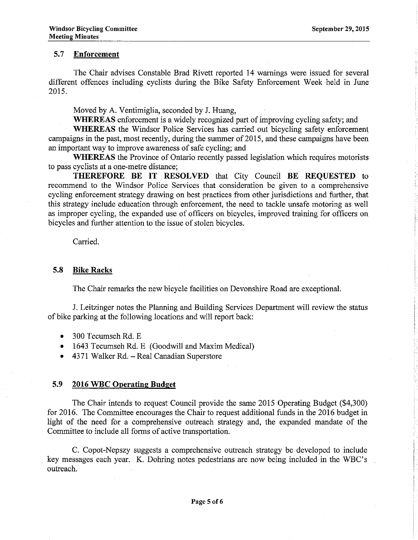# 5.7 Enforcement

The Chair advises Constable Brad Rivett reported 14 wamings were issued for several different offences including cyclists during the Bike Safety Enforcement Week held in June 2015.

Moved by A. Ventimiglia, seconded by J. Huang,

WHEREAS enforcement is a widely recognized part of improving cycling safety; and

WHEREAS the Windsor Police Services has carried out bicycling safety enforcement campaigns in the past, most recently, during the summer of 2015, and these campaigns have been an important way to improve awareness of safe cycling; and

WHEREAS the Province of Ontario recently passed legislation which requires motorists to pass cyclists at a one-metre distance;

THEREFORE BE IT RESOLVED that City Council BE REQUESTED to recommend to the Windsor Police Services that consideration be given to a comprehensive cycling enforcement strategy drawing on best practices from other jurisdictions and further, that this strategy include education through enforcement, the need to tackle unsafe motoring as well as improper cycling, the expanded use of officers on bicycles, improved training for officers on bicycles and further attention to the issue of stolen bicycles.

Carried.

#### 5.8 Bike Racks

The Chair remarks the new bicycle facilities on Devonshire Road are exceptional.

J. Leitzinger notes the Plaruring and Building Services Department will review the status of bike parking at the following locations and will report back:

- 300 Tecumseh Rd. E
- 1643 Tecumseh Rd. E (Goodwill and Maxim Medical)
- o 4371 Walker Rd. Real Canadian Superstore

#### 5.9 2016 WBC Operatine Budeet

The Chair intends to request Council provide the same 2015 Operating Budget (\$4,300) for 2016. The Committee encourages the Chair to request additional funds in the 2016 budget in light of the need for a comprehensive outreach strategy and, the expanded mandate of the Committee to include all forms of active transportation.

C. Copot-Nepszy suggests a comprehensive outreach strategy be developed to include key messages each year. K. Dohring notes pedestrians are now being included in the WBC's outreach.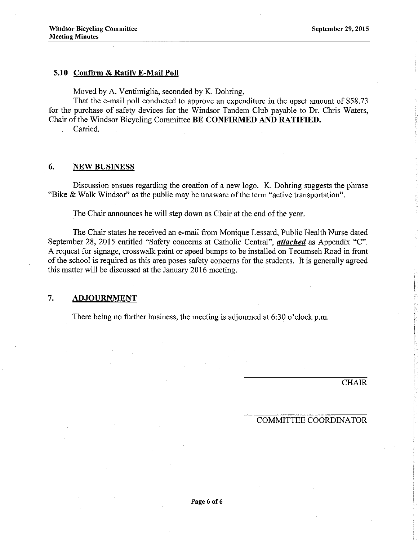# 5,10 Confirm & Ratifv E-Mail Poll

Moved by A. Ventimiglia, seconded by K. Dohring,

That the e-mail poll conducted to approve an expenditure in the upset amount of \$58.73 for the purchase of safety devices for the Windsor Tandem Club payable to Dr. Chris Waters, Chair of the Windsor Bicycling Committee BE CONFIRMED AND RATIFIED.

Carried.

# 6. NEW BUSINESS

Discussion ensues regarding the creation of a new logo. K. Dohring suggests the phrase "Bike & Walk Windsor" as the public may be unaware of the term "active transportation".

The Chair announces he will step down as Chair at the end of the year.

The Chair states he received an e-mail from Monique Lessard, Public Health Nurse dated September 28, 2015 entitled "Safety concerns at Catholic Central", *attached* as Appendix "C". A request for signage, crosswalk paint or speed bumps to be installed on Tecumseh Road in front of the school is required as this area poses safety concems for the students. It is generally agreed this matter will be discussed at the January 2016 meeting.

# 7, ADJOURNMENT

There being no further business, the meeting is adjoumed at 6:30 o'clock p.m.

CHAIR

#### COMMITTEE COORDINATOR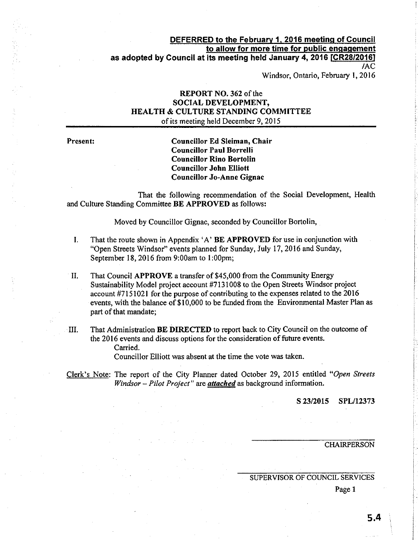### DEFERRED to the February 1, 2016 meeting of Council to allow for more time for public engagement as adopted by Council at its meeting held January 4, 2016 [CR28/2016] tAc

Windsor, Ontario, February l, 2016

# REPORT NO. 362 of the SOCIAL DEVELOPMENT, HEALTH & CULTURE STANDINC COMMITTEE of its meeting held December 9, 2015

Present: Councillor Ed Sleiman, Chair Councillor Paul Borrelli Councillor Rino Bortolin Councillor John Elliott Councillor Jo-Anne Gignac

That the following recommendation of the Social Development, Health and Culture Standing Committee BE APPROVED as follows:

Moved by Councillor Gignac, seconded by Councillor Bortolin,

- I. That the route shown in Appendix 'A' BE APPROVED for use in conjunction with "Open Streets Windsor" events planned for Sunday, July 17, 2016 and Sunday, September 18,2016 from 9:00am to l:00pm;
- II. That Council APPROVE a transfer of \$45,000 from the Community Energy Sustainability Model project account #7131008 to the Open Streets 'Windsor project account #7151021 for the purpose of contributing to the expenses related to the 2016 events, with the balance of \$10,000 to be funded from the Environmental Master Plan as part of that mandate;
- III. That Administration BE DIRECTED to report back to City Council on the outcome of the 2016 events and discuss options for the consideration of future events. Carried.

Councillor Elliott was absent at the time the vote was taken.

Clerk's Note: The report of the City Planner dated October 29, 2015 entitled "Open Slreets Windsor - Pilot Project" are *attached* as background information.

s 23i2015 SPL/12373

### **CHAIRPERSON**

### SUPERVISOR OF COUNCIL SERVICES

Page 1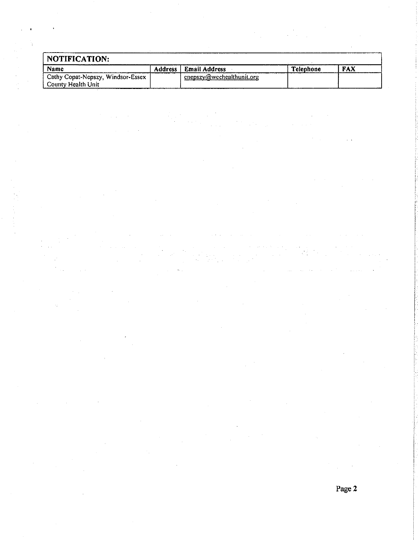| NOTIFICATION:                     |                |                           |                  |            |
|-----------------------------------|----------------|---------------------------|------------------|------------|
| Name                              | <b>Address</b> | Email Address             | <b>Telephone</b> | <b>FAX</b> |
| Cathy Copat-Nepszy, Windsor-Essex |                | cnepszy@wechealthunit.org |                  |            |
| County Health Unit                |                |                           |                  |            |

 $\mathcal{L}_{\text{eff}}$ 

 $\sim$ 

 $\langle\mu\rangle\langle\mu\rangle$ 

 $\mathcal{F}^{\text{R}}_{\text{max}}$  is a set of  $\mathcal{F}^{\text{R}}_{\text{max}}$  . The set of  $\mathcal{F}^{\text{R}}_{\text{max}}$ 

 $\hat{\mathcal{A}}$ 

 $\sim 10^6$ 

 $\hat{\beta}$ 

 $\label{eq:2.1} \mathcal{L}=\frac{1}{2}\sum_{i=1}^{n} \frac{1}{2} \sum_{i=1}^{n} \frac{1}{2} \sum_{i=1}^{n} \frac{1}{2} \sum_{i=1}^{n} \frac{1}{2} \sum_{i=1}^{n} \frac{1}{2} \sum_{i=1}^{n} \frac{1}{2} \sum_{i=1}^{n} \frac{1}{2} \sum_{i=1}^{n} \frac{1}{2} \sum_{i=1}^{n} \frac{1}{2} \sum_{i=1}^{n} \frac{1}{2} \sum_{i=1}^{n} \frac{1}{2} \sum_{i=1}^{n} \frac$ 

a<br>Saadii (1990) Mariya (1990)<br>Saadii (1990) Mariya (1990) Mara

 $\mathcal{L}_{\mathcal{A}}$  and  $\mathcal{L}_{\mathcal{A}}$  are the set of the set of the set of  $\mathcal{A}$ 

Page 2

 $\sim 10$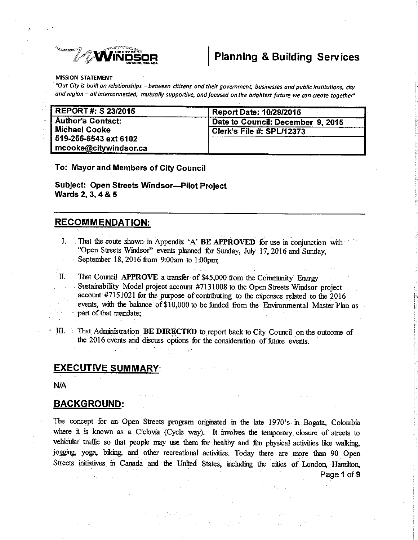

# **Planning & Building Services**

#### **MISSION STATEMENT**

"Our City is built on relationships - between citizens and their government, businesses and public institutions, city and region - all interconnected, mutually supportive, and focused on the brightest future we con create together"

| REPORT#: \$ 23/2015      | <b>Report Date: 10/29/2015</b>    |  |  |
|--------------------------|-----------------------------------|--|--|
| <b>Author's Contact:</b> | Date to Council: December 9, 2015 |  |  |
| Michael Cooke            | <b>Clerk's File #: SPL/12373</b>  |  |  |
| 519-255-6543 ext 6102    |                                   |  |  |
| mcooke@citywindsor.ca    |                                   |  |  |

To: Mayor and Members of City Council

Subject: Open Streets Windsor--Pilot Project Wards 2, 3, 4 & 5

# **RECOMMENDATION:**

- $\mathbf{I}$ . That the route shown in Appendix 'A' BE APPROVED for use in conjunction with "Open Streets Windsor" events planned for Sunday, July 17, 2016 and Sunday, September 18, 2016 from 9:00am to 1:00pm;
- $II.$ That Council APPROVE a transfer of \$45,000 from the Community Energy Sustainability Model project account #7131008 to the Open Streets Windsor project account #7151021 for the purpose of contributing to the expenses related to the 2016 events, with the balance of \$10,000 to be funded from the Environmental Master Plan as part of that mandate;
- Ш. That Administration BE DIRECTED to report back to City Council on the outcome of the 2016 events and discuss options for the consideration of future events.

# **EXECUTIVE SUMMARY**

**N/A** 

#### **BACKGROUND:**

The concept for an Open Streets program originated in the late 1970's in Bogata, Colombia where it is known as a Ciclovia (Cycle way). It involves the temporary closure of streets to vehicular traffic so that people may use them for healthy and fun physical activities like walking, jogging, yoga, biking, and other recreational activities. Today there are more than 90 Open Streets initiatives in Canada and the United States, including the cities of London, Hamilton,

才能的 经公司经济通货单数 医细胞的

Page 1 of 9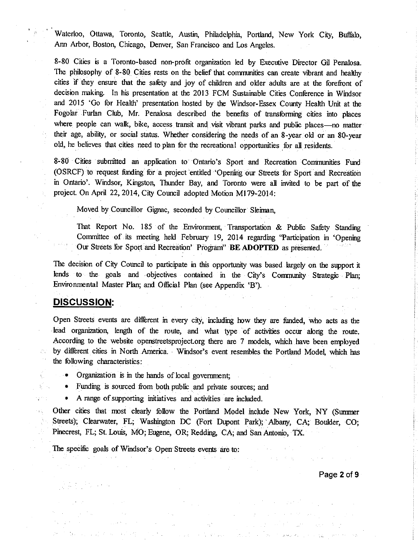Waterloo, Ottawa, Toronto, Seattle, Austin, Philadelphia, Portland, New York City, Buffalo, Ann Arbor, Boston, Chicago, Denver, San Francisco and Los Angeles.

8-80 Cities is a Toronto-based non-profit organization led by Executive Director Gil Penalosa. The philosophy of 8-80 Cities rests on the belief that communities can create vibrant and healthy cities if they ensure that the safety and joy of children and older adults are at the forefront of decision making. In his presentation at the 2013 FCM Sustainable Cities Conference in Windsor and 2015 'Go for Health' presentation hosted by the Windsor-Essex County Health Unit at the Fogolar Furlan Club, Mr. Penalosa described the benefits of transforming cities into places where people can walk, bike, access transit and visit vibrant parks and public places-no matter their age, ability, or social status. Whether considering the needs of an 8-year old or an 80-year old, he believes that cities need to plan for the recreational opportunities for all residents.

8-80 Cities submitted an application to Ontario's Sport and Recreation Communities Fund (OSRCF) to request funding for a project entitled 'Opening our Streets for Sport and Recreation in Ontario'. Windsor, Kingston, Thunder Bay, and Toronto were all invited to be part of the project. On April 22, 2014, City Council adopted Motion M179-2014:

Moved by Councillor Gignac, seconded by Councillor Sleiman,

That Report No. 185 of the Environment, Transportation & Public Safety Standing Committee of its meeting held February 19, 2014 regarding 'Participation in 'Opening Our Streets for Sport and Recreation' Program" BE ADOPTED as presented.

The decision of City Council to participate in this opportunity was based largely on the support it lends to the goals and objectives contained in the City's Community Strategic Plan: Environmental Master Plan; and Official Plan (see Appendix 'B').

# **DISCUSSION:**

Open Streets events are different in every city, including how they are funded, who acts as the lead organization, length of the route, and what type of activities occur along the route. According to the website openstreetsproject.org there are 7 models, which have been employed by different cities in North America. Windsor's event resembles the Portland Model, which has the following characteristics:

- Organization is in the hands of local government;
- $\bullet$ Funding is sourced from both public and private sources; and
- A range of supporting initiatives and activities are included.

Other cities that most clearly follow the Portland Model include New York, NY (Summer Streets); Clearwater, FL; Washington DC (Fort Dupont Park); Albany, CA; Boulder, CO; Pinecrest, FL; St. Louis, MO; Eugene, OR; Redding, CA; and San Antonio, TX.

The specific goals of Windsor's Open Streets events are to:

Page 2 of 9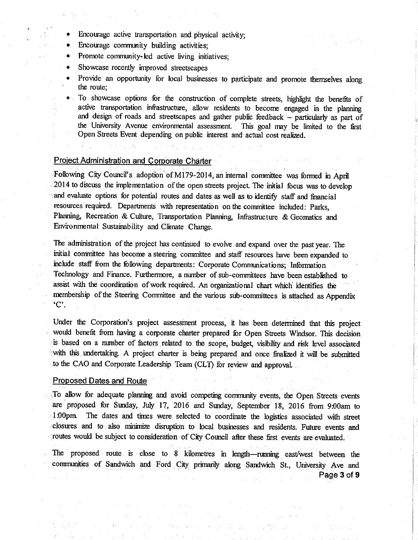- Encourage active transportation and physical activity;
- Encourage community building activities;
- Promote community-led active living initiatives;
- Showcase recently improved streetscapes
- Provide an opportunity for local businesses to participate and promote themselves along the route:
- To showcase options for the construction of complete streets, highlight the benefits of  $\bullet$ . active transportation infrastructure, allow residents to become engaged in the planning and design of roads and streetscapes and gather public feedback - particularly as part of the University Avenue environmental assessment. This goal may be limited to the first Open Streets Event depending on public interest and actual cost realized.

#### **Project Administration and Corporate Charter**

Following City Council's adoption of M179-2014, an internal committee was formed in April 2014 to discuss the implementation of the open streets project. The initial focus was to develop and evaluate options for potential routes and dates as well as to identify staff and financial resources required. Departments with representation on the committee included: Parks, Planning, Recreation & Culture, Transportation Planning, Infrastructure & Geomatics and Environmental Sustainability and Climate Change.

The administration of the project has continued to evolve and expand over the past year. The initial committee has become a steering committee and staff resources have been expanded to include staff from the following departments: Corporate Communications; Information Technology and Finance. Furthermore, a number of sub-committees have been established to assist with the coordination of work required. An organizational chart which identifies the membership of the Steering Committee and the various sub-committees is attached as Appendix  $^{\circ}C$ .

Under the Corporation's project assessment process, it has been determined that this project would benefit from having a corporate charter prepared for Open Streets Windsor. This decision is based on a number of factors related to the scope, budget, visibility and risk level associated with this undertaking. A project charter is being prepared and once finalized it will be submitted to the CAO and Corporate Leadership Team (CLT) for review and approval.

#### **Proposed Dates and Route**

To allow for adequate planning and avoid competing community events, the Open Streets events are proposed for Sunday, July 17, 2016 and Sunday, September 18, 2016 from 9:00am to 1.00pm. The dates and times were selected to coordinate the logistics associated with street closures and to also minimize disruption to local businesses and residents. Future events and routes would be subject to consideration of City Council after these first events are evaluated.

The proposed route is close to 8 kilometres in length-numing east/west between the communities of Sandwich and Ford City primarily along Sandwich St., University Ave and Page 3 of 9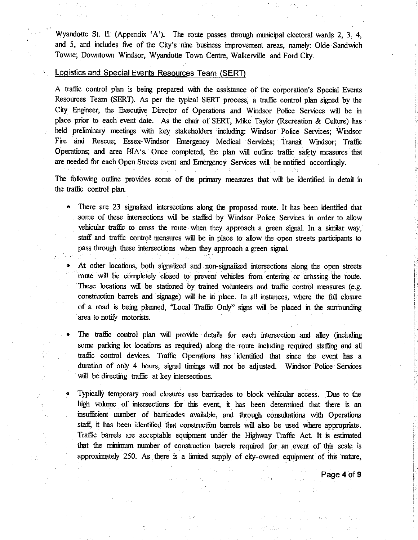Wyandotte St. E. (Appendix 'A'). The route passes through municipal electoral wards 2, 3, 4, and 5, and includes five of the City's nine business improvement areas, namely: Olde Sandwich Towne; Downtown Windsor, Wyandotte Town Centre, Walkerville and Ford City.

#### Logistics and Special Events Resources Team (SERT)

ÿ.

A traffic control plan is being prepared with the assistance of the corporation's Special Events Resources Team (SERT). As per the typical SERT process, a traffic control plan signed by the City Engineer, the Executive Director of Operations and Windsor Police Services will be in place prior to each event date. As the chair of SERT, Mike Taylor (Recreation & Culture) has held preliminary meetings with key stakeholders including: Windsor Police Services; Windsor Fire and Rescue; Essex-Windsor Emergency Medical Services; Transit Windsor; Traffic Operations; and area BIA's. Once completed, the plan will outline traffic safety measures that are needed for each Open Streets event and Emergency Services will be notified accordingly.

The following outline provides some of the primary measures that will be identified in detail in the traffic control plan.

There are 23 signalized intersections along the proposed route. It has been identified that some of these intersections will be staffed by Windsor Police Services in order to allow vehicular traffic to cross the route when they approach a green signal. In a similar way, staff and traffic control measures will be in place to allow the open streets participants to pass through these intersections when they approach a green signal.

At other locations, both signalized and non-signalized intersections along the open streets route will be completely closed to prevent vehicles from entering or crossing the route. These locations will be stationed by trained volunteers and traffic control measures (e.g. construction barrels and signage) will be in place. In all instances, where the full closure of a road is being planned, "Local Traffic Only" signs will be placed in the surrounding area to notify motorists.

The traffic control plan will provide details for each intersection and alley (including some parking lot locations as required) along the route including required staffing and all traffic control devices. Traffic Operations has identified that since the event has a duration of only 4 hours, signal timings will not be adjusted. Windsor Police Services will be directing traffic at key intersections.

Typically temporary road closures use barricades to block vehicular access. Due to the high volume of intersections for this event, it has been determined that there is an insufficient number of barricades available, and through consultations with Operations staff, it has been identified that construction barrels will also be used where appropriate. Traffic barrels are acceptable equipment under the Highway Traffic Act. It is estimated that the minimum number of construction barrels required for an event of this scale is approximately 250. As there is a limited supply of city-owned equipment of this nature,

Page 4 of 9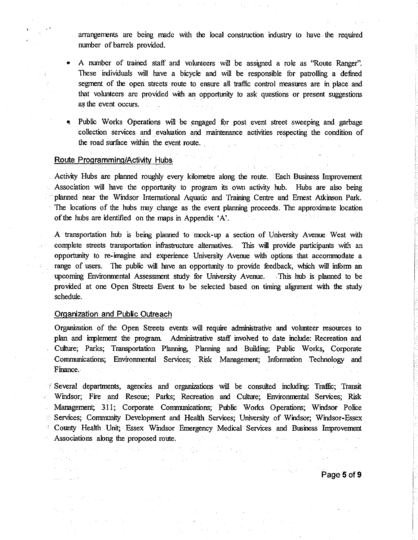arrangements are being made with the local construction industry to have the required number of barrels provided.

- A number of trained staff and volunteers will be assigned a role as "Route Ranger". These individuals will have a bicycle and will be responsible for patrolling a defined segment of the open streets route to ensure all traffic control measures are in place and that volunteers are provided with an opportunity to ask questions or present suggestions as the event occurs.
- Public Works Operations will be engaged for post event street sweeping and garbage collection services and evaluation and maintenance activities respecting the condition of the road surface within the event route.

#### Route Programming/Activity Hubs

Activity Hubs are planned roughly every kilometre along the route. Each Business Improvement Association will have the opportunity to program its own activity hub. Hubs are also being planned near the Windsor International Aquatic and Training Centre and Ernest Atkinson Park. The locations of the hubs may change as the event planning proceeds. The approximate location of the hubs are identified on the maps in Appendix 'A'.

A transportation hub is being planned to mock-up a section of University Avenue West with complete streets transportation infrastructure alternatives. This will provide participants with an opportunity to re-imagine and experience University Avenue with options that accommodate a range of users. The public will have an opportunity to provide feedback, which will inform an upcoming Environmental Assessment study for University Avenue. This hub is planned to be provided at one Open Streets Event to be selected based on timing alignment with the study schedule.

### Organization and Public Outreach

 $\label{eq:2} \mathcal{L}(\mathcal{L}_1) \neq \mathcal{L}(\mathcal{L}_2)$ 

i Denga

 $\sim 10^{-1}$ 

Organization of the Open Streets events will require administrative and volunteer resources to plan and implement the program. Administrative staff involved to date include: Recreation and Culture; Parks; Transportation Planning, Planning and Building; Public Works, Corporate Communications; Environmental Services; Risk Management; Information Technology and Finance.

Several departments, agencies and organizations will be consulted including: Traffic; Transit Windsor; Fire and Rescue; Parks; Recreation and Culture; Environmental Services; Risk Management; 311; Corporate Communications; Public Works Operations; Windsor Police Services, Community Development and Health Services; University of Windsor; Windsor-Essex County Health Unit; Essex Windsor Emergency Medical Services and Business Improvement Associations along the proposed route.

 $\Delta \sim 10^{11}$  km

**Sample** 

**Contractor** 

and the company

Λ.

 $\sim$ 

Page 5 of 9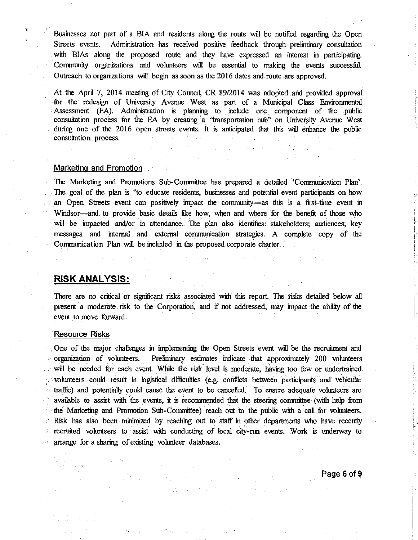Businesses not part of a BIA and residents along the route will be notified regarding the Open Streets events. Administration has received positive feedback through preliminary consultation with BIAs along the proposed route and they have expressed an interest in participating. Community organizations and volunteers will be essential to making the events successful. Outreach to organizations will begin as soon as the 2016 dates and route are approved.

At the April 7, 2014 meeting of City Council, CR 89/2014 was adopted and provided approval for the redesign of University Avenue West as part of a Municipal Class Environmental Assessment (EA). Administration is planning to include one component of the public consultation process for the EA by creating a "transportation hub" on University Avenue West during one of the 2016 open streets events. It is anticipated that this will enhance the public consultation process.

#### Marketing and Promotion

The Marketing and Promotions Sub-Committee has prepared a detailed 'Communication Plan'. The goal of the plan is "to educate residents, businesses and potential event participants on how an Open Streets event can positively impact the community—as this is a first-time event in Windsor—and to provide basic details like how, when and where for the benefit of those who will be impacted and/or in attendance. The plan also identifies: stakeholders; audiences; key messages and internal and external communication strategies. A complete copy of the Communication Plan will be included in the proposed corporate charter.

# **RISK ANALYSIS:**

There are no critical or significant risks associated with this report. The risks detailed below all present a moderate risk to the Corporation, and if not addressed, may impact the ability of the event to move forward.

#### **Resource Risks**

One of the major challenges in implementing the Open Streets event will be the recruitment and Preliminary estimates indicate that approximately 200 volunteers organization of volunteers. will be needed for each event. While the risk level is moderate, having too few or undertrained volunteers could result in logistical difficulties (e.g. conflicts between participants and vehicular traffic) and potentially could cause the event to be cancelled. To ensure adequate volunteers are available to assist with the events, it is recommended that the steering committee (with help from the Marketing and Promotion Sub-Committee) reach out to the public with a call for volunteers. ήų, Risk has also been minimized by reaching out to staff in other departments who have recently  $\frac{1}{2} \sum_{i=1}^n$ recruited volunteers to assist with conducting of local city-run events. Work is underway to arrange for a sharing of existing volunteer databases.

Page 6 of 9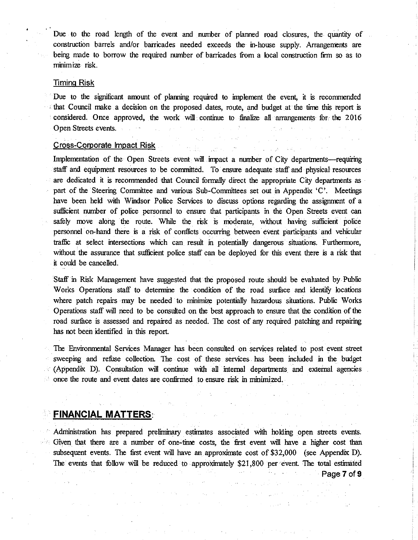Due to the road length of the event and number of planned road closures, the quantity of construction barrels and/or barricades needed exceeds the in-house supply. Arrangements are being made to borrow the required number of barricades from a local construction firm so as to minimize risk.

#### **Timing Risk**

Due to the significant amount of planning required to implement the event, it is recommended that Council make a decision on the proposed dates, route, and budget at the time this report is considered. Once approved, the work will continue to finalize all arrangements for the 2016 Open Streets events.

#### **Cross-Corporate Impact Risk**

Implementation of the Open Streets event will impact a number of City departments—requiring staff and equipment resources to be committed. To ensure adequate staff and physical resources are dedicated it is recommended that Council formally direct the appropriate City departments as part of the Steering Committee and various Sub-Committees set out in Appendix 'C'. Meetings have been held with Windsor Police Services to discuss options regarding the assignment of a sufficient number of police personnel to ensure that participants in the Open Streets event can safely move along the route. While the risk is moderate, without having sufficient police personnel on-hand there is a risk of conflicts occurring between event participants and vehicular traffic at select intersections which can result in potentially dangerous situations. Furthermore, without the assurance that sufficient police staff can be deployed for this event there is a risk that it could be cancelled.

Staff in Risk Management have suggested that the proposed route should be evaluated by Public Works Operations staff to determine the condition of the road surface and identify locations where patch repairs may be needed to minimize potentially hazardous situations. Public Works Operations staff will need to be consulted on the best approach to ensure that the condition of the road surface is assessed and repaired as needed. The cost of any required patching and repairing has not been identified in this report.

The Environmental Services Manager has been consulted on services related to post event street sweeping and refuse collection. The cost of these services has been included in the budget (Appendix D). Consultation will continue with all internal departments and external agencies once the route and event dates are confirmed to ensure risk in minimized.

# **FINANCIAL MATTERS:**

Administration has prepared preliminary estimates associated with holding open streets events. Given that there are a number of one-time costs, the first event will have a higher cost than subsequent events. The first event will have an approximate cost of \$32,000 (see Appendix D). The events that follow will be reduced to approximately \$21,800 per event. The total estimated Page 7 of 9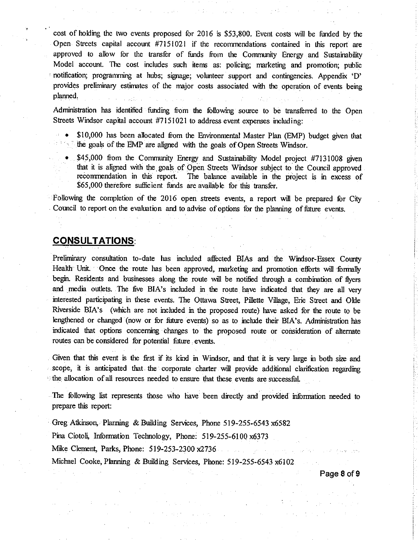cost of holding the two events proposed for 2016 is \$53,800. Event costs will be funded by the Open Streets capital account #7151021 if the recommendations contained in this report are approved to allow for the transfer of funds from the Community Energy and Sustainability Model account. The cost includes such items as: policing; marketing and promotion; public notification; prograurming at hubs; signage; vohnteer support and contingencies. Appendix 'D' provides preliminary estimates of the major costs associated with the operation of events being planned.

Administration has identified funding from the following source to be transferred to the Open Streets Windsor capital account  $#7151021$  to address event expenses including:

- \$10,000 has been allocated from the Environmental Master Plan (EMP) budget given that  $\sim$  the goals of the EMP are aligned with the goals of Open Streets Windsor.
	- \$45,000 from the Community Energy and Sustainability Model project #7131008 given that it is aligned with the goals of Open Streets Windsor subject to the Council approved recommendation in this report. The balance available in the project is in excess of \$65,000 therefore sufficient funds are available for this transfer.

Following the completion of the 2016 open streets events, a report will be prepared for City Council to report on the evaluation and to advise of options for the planning of future events.

# GONSULTATIONS:

Preliminary corsultation to-date has included affected BIAs and the Widsor-Essex County Health Unit. Once the route has been approved, marketing and promotion efforts will formally begin. Residents and businesses along the route will be notified through a combination of flyers and media outlets. The five BIA's included in the route have indicated that they are all very interested participating in these events. The Ottawa Street, Pillette Village, Erie Street and Okle Riverside BIA's (which are not included in the proposed route) have asked for the route to be lengthened or changed (now or for future events) so as to include their BIA's, Administration has indicated that options concerning changes to the proposed route or consideration of alternate routes can be considered for potential future events.

Given that this event is the first if its kind in Windsor, and that it is very large in both size and scope, it is anticipated that the corporate charter will provide additional clarification regarding  $\theta$  the allocation of all resources needed to ensure that these events are successful.

The following list represents those who have been directly and provided information needed to prepare this report:

Greg Atkinson, Planning & Building Services, Phone 519-255-6543 x6582

Pina Ciotoli, Information Technology, Phone: 519-255-6100 x6373

Mike Clement, Parks, Phone: 519-253-2300 x2736

Michael Cooke, Planning & Building Services, Phone: 519-255-6543 x6102

Page 8 of 9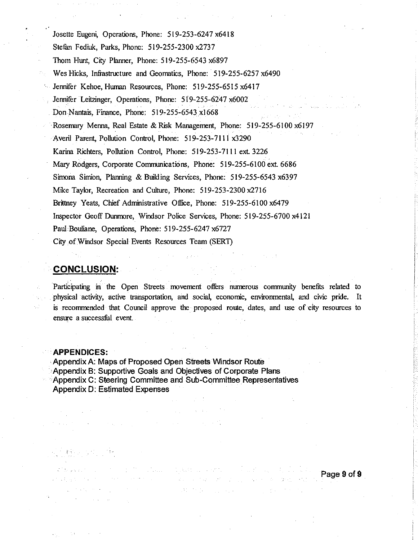Josette Eugeni, Operations, Phone: 519-253-6247 x6418 Stefan Fediuk, Parks, Phone: 519-255-2300 x2737 Thom Hunt, City Planner, Phone: 519-255-6543 x6897 Wes Hicks, Infrastructure and Geomatics, Phone: 519-255-6257 x6490 Jennifer Kehoe, Human Resources, Phone: 519-255-6515 x6417 Jennifer Leitzinger, Operations, Phone: 519-255-6247 x6002 Don Nantais, Finance, Phone: 519-255-6543 x1668 Rosemary Menna, Real Estate & Risk Management, Phone: 519-255-6100 x6197 Averil Parent, Pollution Control, Phone: 519-253-7111 x3290 Karina Richters, Pollution Control, Phone: 519-253-7111 ext. 3226 Mary Rodgers, Corporate Communications, Phone: 519-255-6100 ext. 6686 Simona Simion, Planning & Building Services, Phone: 519-255-6543 x6397 Mike Taylor, Recreation and Culture, Phone: 519-253-2300 x2716 Brittney Yeats, Chief Administrative Office, Phone: 519-255-6100 x6479 Inspector Geoff Dunmore, Windsor Police Services, Phone: 519-255-6700 x4121 Paul Bouliane, Operations, Phone: 519-255-6247 x6727 City of Windsor Special Events Resources Team (SERT)

# **CONCLUSION:**

Participating in the Open Streets movement offers numerous community benefits related to physical activity, active transportation, and social, economic, environmental, and civic pride. It is recommended that Council approve the proposed route, dates, and use of city resources to ensure a successful event.

# **APPENDICES:**

Appendix A: Maps of Proposed Open Streets Windsor Route Appendix B: Supportive Goals and Objectives of Corporate Plans Appendix C: Steering Committee and Sub-Committee Representatives **Appendix D: Estimated Expenses** 

**Contract Contract** 

 $\gamma$  , and the second constant is a second constant of the second second second second second second second second second second second second second second second second second second second second second second second s Page 9 of 9  $\mathcal{A} \in \Theta(\mathcal{A}^{\mathcal{A}}_{\mathcal{A}}(\mathcal{A}^{\mathcal{A}}_{\mathcal{A}}))$  $\label{eq:3.1} \left\langle \left( \hat{A}_{\alpha \beta} \right) \right\rangle = \left\langle \hat{A}_{\alpha \beta} \right\rangle = \left\langle \left( \hat{A}_{\alpha \beta} \right) \right\rangle = \left\langle \hat{A}_{\alpha \beta} \right\rangle = \left\langle \hat{A}_{\alpha \beta} \right\rangle = \left\langle \hat{A}_{\alpha \beta} \right\rangle = \hat{A}_{\alpha \beta}$ **TERRIT Service Community**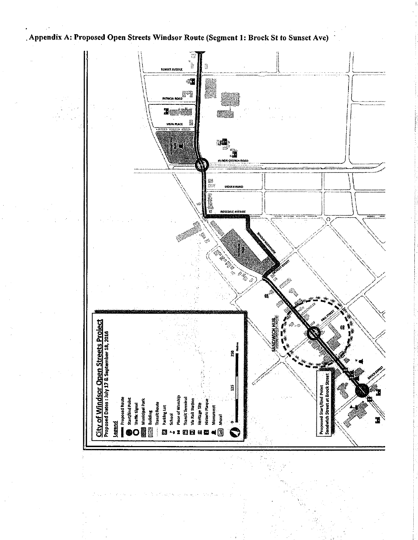Appendix A: Proposed Open Streets Windsor Route (Segment 1: Brock St to Sunset Ave)

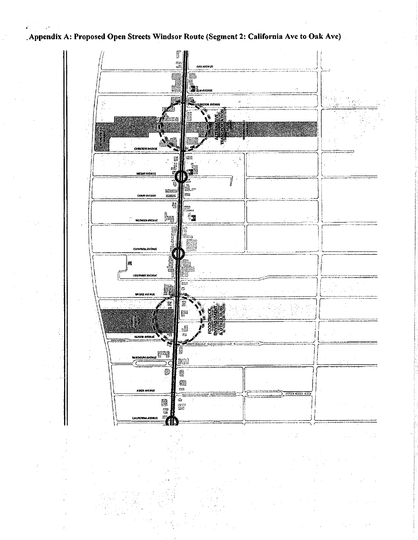Appendix A: Proposed Open Streets Windsor Route (Segment 2: California Ave to Oak Ave)



 $\overline{a}$